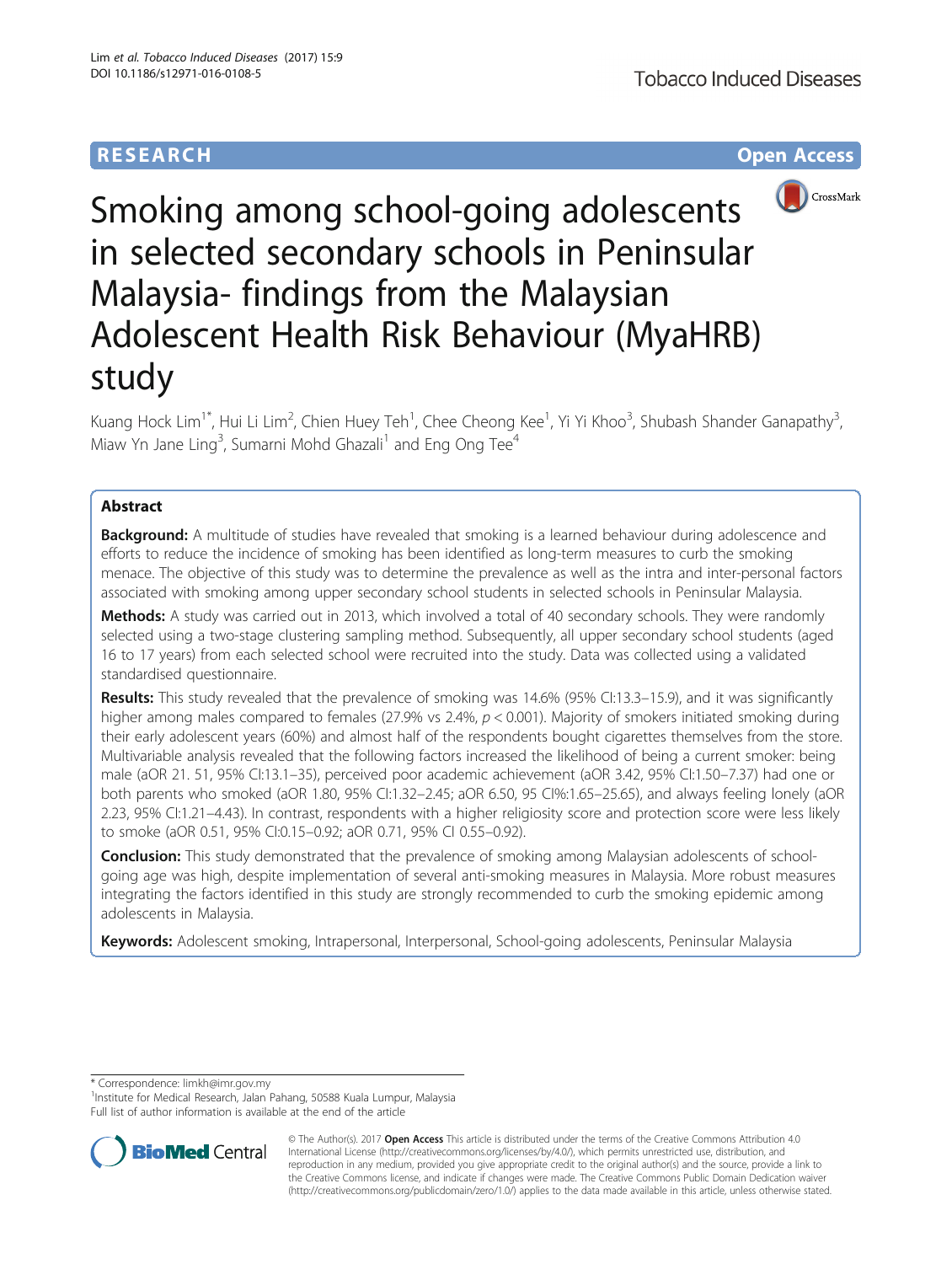# **RESEARCH CHE Open Access**



# Smoking among school-going adolescents in selected secondary schools in Peninsular Malaysia- findings from the Malaysian Adolescent Health Risk Behaviour (MyaHRB) study

Kuang Hock Lim<sup>1\*</sup>, Hui Li Lim<sup>2</sup>, Chien Huey Teh<sup>1</sup>, Chee Cheong Kee<sup>1</sup>, Yi Yi Khoo<sup>3</sup>, Shubash Shander Ganapathy<sup>3</sup> , Miaw Yn Jane Ling<sup>3</sup>, Sumarni Mohd Ghazali<sup>1</sup> and Eng Ong Tee<sup>4</sup>

# Abstract

**Background:** A multitude of studies have revealed that smoking is a learned behaviour during adolescence and efforts to reduce the incidence of smoking has been identified as long-term measures to curb the smoking menace. The objective of this study was to determine the prevalence as well as the intra and inter-personal factors associated with smoking among upper secondary school students in selected schools in Peninsular Malaysia.

Methods: A study was carried out in 2013, which involved a total of 40 secondary schools. They were randomly selected using a two-stage clustering sampling method. Subsequently, all upper secondary school students (aged 16 to 17 years) from each selected school were recruited into the study. Data was collected using a validated standardised questionnaire.

Results: This study revealed that the prevalence of smoking was 14.6% (95% Cl:13.3–15.9), and it was significantly higher among males compared to females (27.9% vs 2.4%,  $p < 0.001$ ). Majority of smokers initiated smoking during their early adolescent years (60%) and almost half of the respondents bought cigarettes themselves from the store. Multivariable analysis revealed that the following factors increased the likelihood of being a current smoker: being male (aOR 21. 51, 95% CI:13.1–35), perceived poor academic achievement (aOR 3.42, 95% CI:1.50–7.37) had one or both parents who smoked (aOR 1.80, 95% CI:1.32–2.45; aOR 6.50, 95 CI%:1.65–25.65), and always feeling lonely (aOR 2.23, 95% CI:1.21–4.43). In contrast, respondents with a higher religiosity score and protection score were less likely to smoke (aOR 0.51, 95% CI:0.15–0.92; aOR 0.71, 95% CI 0.55–0.92).

Conclusion: This study demonstrated that the prevalence of smoking among Malaysian adolescents of schoolgoing age was high, despite implementation of several anti-smoking measures in Malaysia. More robust measures integrating the factors identified in this study are strongly recommended to curb the smoking epidemic among adolescents in Malaysia.

Keywords: Adolescent smoking, Intrapersonal, Interpersonal, School-going adolescents, Peninsular Malaysia

\* Correspondence: [limkh@imr.gov.my](mailto:limkh@imr.gov.my) <sup>1</sup>

<sup>1</sup> Institute for Medical Research, Jalan Pahang, 50588 Kuala Lumpur, Malaysia Full list of author information is available at the end of the article



© The Author(s). 2017 **Open Access** This article is distributed under the terms of the Creative Commons Attribution 4.0 International License [\(http://creativecommons.org/licenses/by/4.0/](http://creativecommons.org/licenses/by/4.0/)), which permits unrestricted use, distribution, and reproduction in any medium, provided you give appropriate credit to the original author(s) and the source, provide a link to the Creative Commons license, and indicate if changes were made. The Creative Commons Public Domain Dedication waiver [\(http://creativecommons.org/publicdomain/zero/1.0/](http://creativecommons.org/publicdomain/zero/1.0/)) applies to the data made available in this article, unless otherwise stated.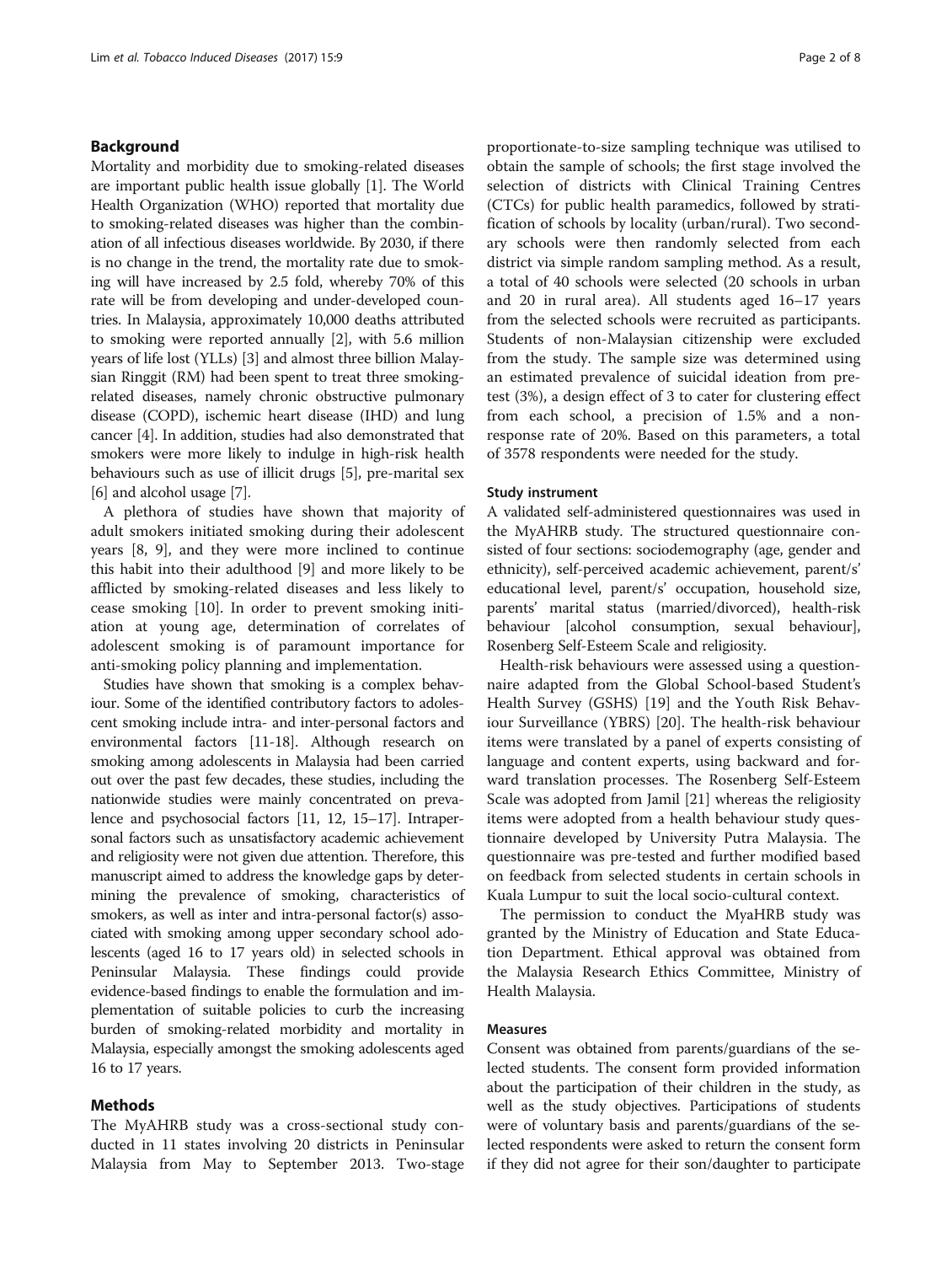## Background

Mortality and morbidity due to smoking-related diseases are important public health issue globally [[1\]](#page-6-0). The World Health Organization (WHO) reported that mortality due to smoking-related diseases was higher than the combination of all infectious diseases worldwide. By 2030, if there is no change in the trend, the mortality rate due to smoking will have increased by 2.5 fold, whereby 70% of this rate will be from developing and under-developed countries. In Malaysia, approximately 10,000 deaths attributed to smoking were reported annually [\[2](#page-6-0)], with 5.6 million years of life lost (YLLs) [\[3](#page-6-0)] and almost three billion Malaysian Ringgit (RM) had been spent to treat three smokingrelated diseases, namely chronic obstructive pulmonary disease (COPD), ischemic heart disease (IHD) and lung cancer [[4\]](#page-6-0). In addition, studies had also demonstrated that smokers were more likely to indulge in high-risk health behaviours such as use of illicit drugs [\[5](#page-6-0)], pre-marital sex [[6\]](#page-6-0) and alcohol usage [\[7\]](#page-6-0).

A plethora of studies have shown that majority of adult smokers initiated smoking during their adolescent years [\[8](#page-6-0), [9](#page-6-0)], and they were more inclined to continue this habit into their adulthood [\[9](#page-6-0)] and more likely to be afflicted by smoking-related diseases and less likely to cease smoking [[10\]](#page-6-0). In order to prevent smoking initiation at young age, determination of correlates of adolescent smoking is of paramount importance for anti-smoking policy planning and implementation.

Studies have shown that smoking is a complex behaviour. Some of the identified contributory factors to adolescent smoking include intra- and inter-personal factors and environmental factors [\[11-18](#page-6-0)]. Although research on smoking among adolescents in Malaysia had been carried out over the past few decades, these studies, including the nationwide studies were mainly concentrated on prevalence and psychosocial factors [[11](#page-6-0), [12](#page-6-0), [15](#page-6-0)–[17\]](#page-6-0). Intrapersonal factors such as unsatisfactory academic achievement and religiosity were not given due attention. Therefore, this manuscript aimed to address the knowledge gaps by determining the prevalence of smoking, characteristics of smokers, as well as inter and intra-personal factor(s) associated with smoking among upper secondary school adolescents (aged 16 to 17 years old) in selected schools in Peninsular Malaysia. These findings could provide evidence-based findings to enable the formulation and implementation of suitable policies to curb the increasing burden of smoking-related morbidity and mortality in Malaysia, especially amongst the smoking adolescents aged 16 to 17 years.

#### Methods

The MyAHRB study was a cross-sectional study conducted in 11 states involving 20 districts in Peninsular Malaysia from May to September 2013. Two-stage proportionate-to-size sampling technique was utilised to obtain the sample of schools; the first stage involved the selection of districts with Clinical Training Centres (CTCs) for public health paramedics, followed by stratification of schools by locality (urban/rural). Two secondary schools were then randomly selected from each district via simple random sampling method. As a result, a total of 40 schools were selected (20 schools in urban and 20 in rural area). All students aged 16–17 years from the selected schools were recruited as participants. Students of non-Malaysian citizenship were excluded from the study. The sample size was determined using an estimated prevalence of suicidal ideation from pretest (3%), a design effect of 3 to cater for clustering effect from each school, a precision of 1.5% and a nonresponse rate of 20%. Based on this parameters, a total of 3578 respondents were needed for the study.

#### Study instrument

A validated self-administered questionnaires was used in the MyAHRB study. The structured questionnaire consisted of four sections: sociodemography (age, gender and ethnicity), self-perceived academic achievement, parent/s' educational level, parent/s' occupation, household size, parents' marital status (married/divorced), health-risk behaviour [alcohol consumption, sexual behaviour], Rosenberg Self-Esteem Scale and religiosity.

Health-risk behaviours were assessed using a questionnaire adapted from the Global School-based Student's Health Survey (GSHS) [[19\]](#page-6-0) and the Youth Risk Behaviour Surveillance (YBRS) [[20](#page-6-0)]. The health-risk behaviour items were translated by a panel of experts consisting of language and content experts, using backward and forward translation processes. The Rosenberg Self-Esteem Scale was adopted from Jamil [[21](#page-6-0)] whereas the religiosity items were adopted from a health behaviour study questionnaire developed by University Putra Malaysia. The questionnaire was pre-tested and further modified based on feedback from selected students in certain schools in Kuala Lumpur to suit the local socio-cultural context.

The permission to conduct the MyaHRB study was granted by the Ministry of Education and State Education Department. Ethical approval was obtained from the Malaysia Research Ethics Committee, Ministry of Health Malaysia.

#### Measures

Consent was obtained from parents/guardians of the selected students. The consent form provided information about the participation of their children in the study, as well as the study objectives. Participations of students were of voluntary basis and parents/guardians of the selected respondents were asked to return the consent form if they did not agree for their son/daughter to participate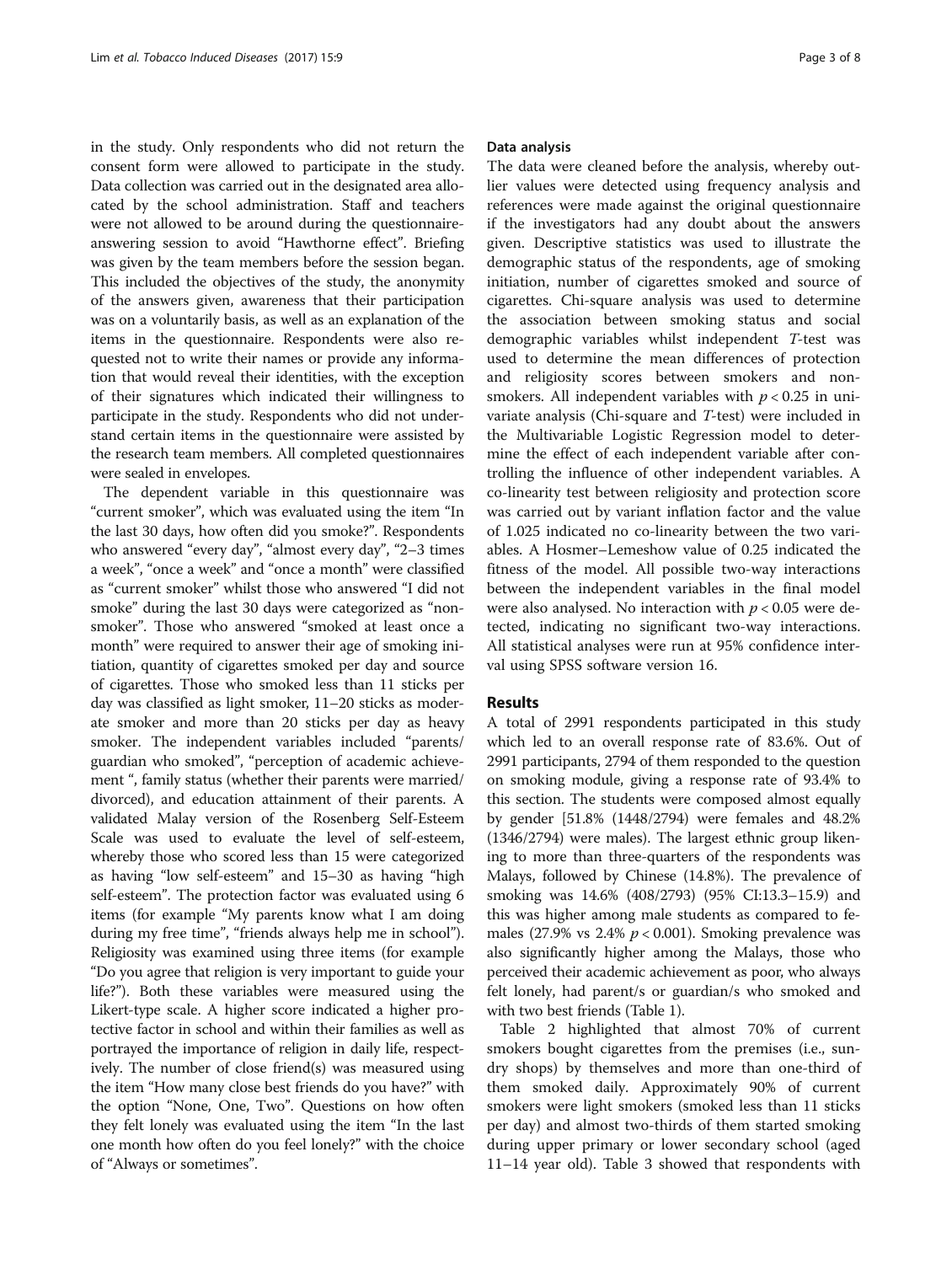in the study. Only respondents who did not return the consent form were allowed to participate in the study. Data collection was carried out in the designated area allocated by the school administration. Staff and teachers were not allowed to be around during the questionnaireanswering session to avoid "Hawthorne effect". Briefing was given by the team members before the session began. This included the objectives of the study, the anonymity of the answers given, awareness that their participation was on a voluntarily basis, as well as an explanation of the items in the questionnaire. Respondents were also requested not to write their names or provide any information that would reveal their identities, with the exception of their signatures which indicated their willingness to participate in the study. Respondents who did not understand certain items in the questionnaire were assisted by the research team members. All completed questionnaires were sealed in envelopes.

The dependent variable in this questionnaire was "current smoker", which was evaluated using the item "In the last 30 days, how often did you smoke?". Respondents who answered "every day", "almost every day", "2–3 times a week", "once a week" and "once a month" were classified as "current smoker" whilst those who answered "I did not smoke" during the last 30 days were categorized as "nonsmoker". Those who answered "smoked at least once a month" were required to answer their age of smoking initiation, quantity of cigarettes smoked per day and source of cigarettes. Those who smoked less than 11 sticks per day was classified as light smoker, 11–20 sticks as moderate smoker and more than 20 sticks per day as heavy smoker. The independent variables included "parents/ guardian who smoked", "perception of academic achievement ", family status (whether their parents were married/ divorced), and education attainment of their parents. A validated Malay version of the Rosenberg Self-Esteem Scale was used to evaluate the level of self-esteem, whereby those who scored less than 15 were categorized as having "low self-esteem" and 15–30 as having "high self-esteem". The protection factor was evaluated using 6 items (for example "My parents know what I am doing during my free time", "friends always help me in school"). Religiosity was examined using three items (for example "Do you agree that religion is very important to guide your life?"). Both these variables were measured using the Likert-type scale. A higher score indicated a higher protective factor in school and within their families as well as portrayed the importance of religion in daily life, respectively. The number of close friend(s) was measured using the item "How many close best friends do you have?" with the option "None, One, Two". Questions on how often they felt lonely was evaluated using the item "In the last one month how often do you feel lonely?" with the choice of "Always or sometimes".

#### Data analysis

The data were cleaned before the analysis, whereby outlier values were detected using frequency analysis and references were made against the original questionnaire if the investigators had any doubt about the answers given. Descriptive statistics was used to illustrate the demographic status of the respondents, age of smoking initiation, number of cigarettes smoked and source of cigarettes. Chi-square analysis was used to determine the association between smoking status and social demographic variables whilst independent T-test was used to determine the mean differences of protection and religiosity scores between smokers and nonsmokers. All independent variables with  $p < 0.25$  in univariate analysis (Chi-square and T-test) were included in the Multivariable Logistic Regression model to determine the effect of each independent variable after controlling the influence of other independent variables. A co-linearity test between religiosity and protection score was carried out by variant inflation factor and the value of 1.025 indicated no co-linearity between the two variables. A Hosmer–Lemeshow value of 0.25 indicated the fitness of the model. All possible two-way interactions between the independent variables in the final model were also analysed. No interaction with  $p < 0.05$  were detected, indicating no significant two-way interactions. All statistical analyses were run at 95% confidence interval using SPSS software version 16.

#### Results

A total of 2991 respondents participated in this study which led to an overall response rate of 83.6%. Out of 2991 participants, 2794 of them responded to the question on smoking module, giving a response rate of 93.4% to this section. The students were composed almost equally by gender [51.8% (1448/2794) were females and 48.2% (1346/2794) were males). The largest ethnic group likening to more than three-quarters of the respondents was Malays, followed by Chinese (14.8%). The prevalence of smoking was 14.6% (408/2793) (95% CI:13.3–15.9) and this was higher among male students as compared to females (27.9% vs 2.4%  $p < 0.001$ ). Smoking prevalence was also significantly higher among the Malays, those who perceived their academic achievement as poor, who always felt lonely, had parent/s or guardian/s who smoked and with two best friends (Table [1](#page-3-0)).

Table [2](#page-3-0) highlighted that almost 70% of current smokers bought cigarettes from the premises (i.e., sundry shops) by themselves and more than one-third of them smoked daily. Approximately 90% of current smokers were light smokers (smoked less than 11 sticks per day) and almost two-thirds of them started smoking during upper primary or lower secondary school (aged 11–14 year old). Table [3](#page-3-0) showed that respondents with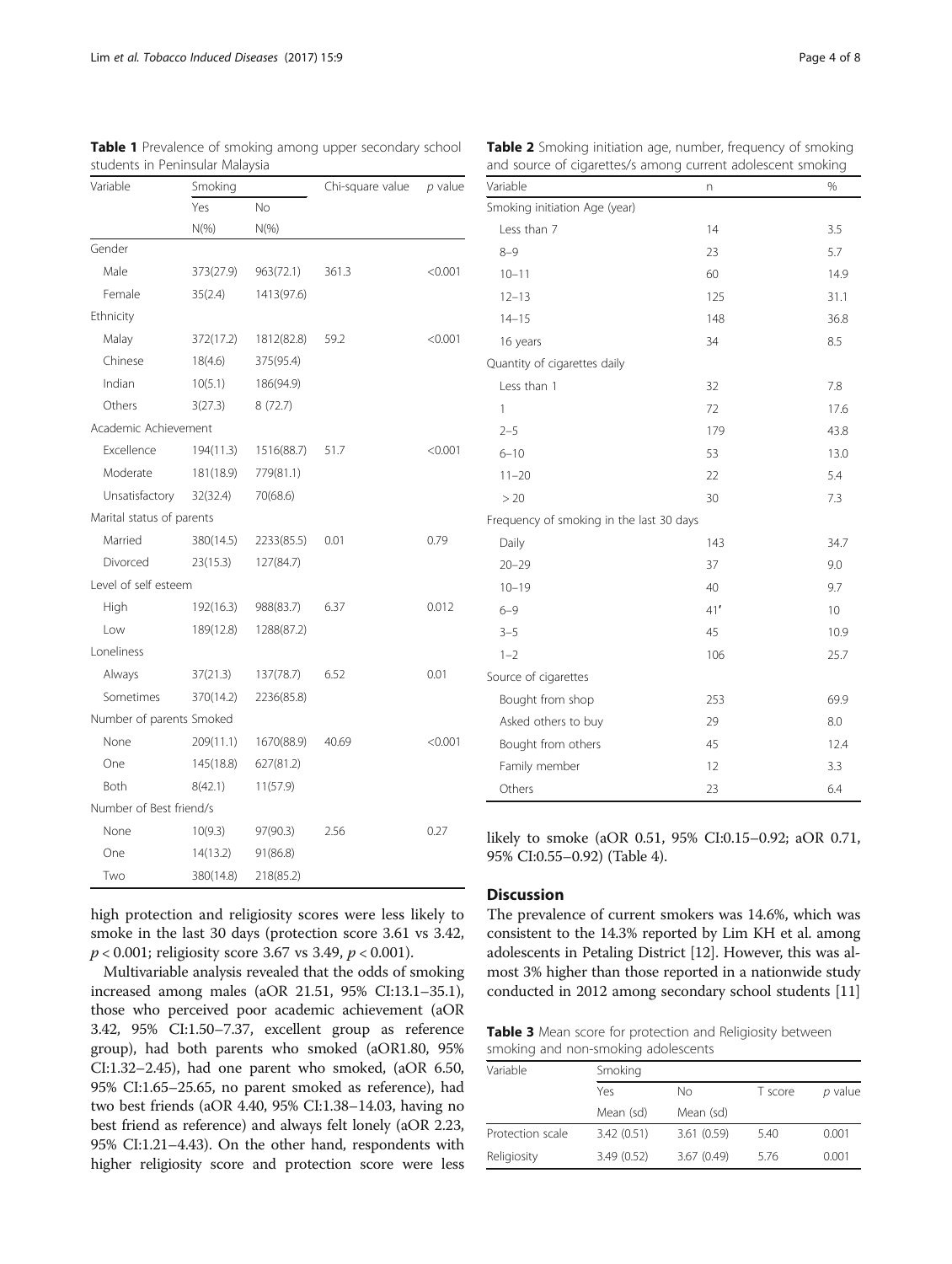| Variable                  | Smoking   |            | Chi-square value | p value |
|---------------------------|-----------|------------|------------------|---------|
|                           | Yes       | No         |                  |         |
|                           | $N(\%)$   | $N(\%)$    |                  |         |
| Gender                    |           |            |                  |         |
| Male                      | 373(27.9) | 963(72.1)  | 361.3            | < 0.001 |
| Female                    | 35(2.4)   | 1413(97.6) |                  |         |
| Ethnicity                 |           |            |                  |         |
| Malay                     | 372(17.2) | 1812(82.8) | 59.2             | < 0.001 |
| Chinese                   | 18(4.6)   | 375(95.4)  |                  |         |
| Indian                    | 10(5.1)   | 186(94.9)  |                  |         |
| Others                    | 3(27.3)   | 8(72.7)    |                  |         |
| Academic Achievement      |           |            |                  |         |
| Excellence                | 194(11.3) | 1516(88.7) | 51.7             | < 0.001 |
| Moderate                  | 181(18.9) | 779(81.1)  |                  |         |
| Unsatisfactory            | 32(32.4)  | 70(68.6)   |                  |         |
| Marital status of parents |           |            |                  |         |
| Married                   | 380(14.5) | 2233(85.5) | 0.01             | 0.79    |
| Divorced                  | 23(15.3)  | 127(84.7)  |                  |         |
| Level of self esteem      |           |            |                  |         |
| High                      | 192(16.3) | 988(83.7)  | 6.37             | 0.012   |
| Low                       | 189(12.8) | 1288(87.2) |                  |         |
| Loneliness                |           |            |                  |         |
| Always                    | 37(21.3)  | 137(78.7)  | 6.52             | 0.01    |
| Sometimes                 | 370(14.2) | 2236(85.8) |                  |         |
| Number of parents Smoked  |           |            |                  |         |
| None                      | 209(11.1) | 1670(88.9) | 40.69            | < 0.001 |
| One                       | 145(18.8) | 627(81.2)  |                  |         |
| Both                      | 8(42.1)   | 11(57.9)   |                  |         |
| Number of Best friend/s   |           |            |                  |         |
| None                      | 10(9.3)   | 97(90.3)   | 2.56             | 0.27    |
| One                       | 14(13.2)  | 91(86.8)   |                  |         |
| Two                       | 380(14.8) | 218(85.2)  |                  |         |

<span id="page-3-0"></span>Table 1 Prevalence of smoking among upper secondary school students in Peninsular Malaysia

high protection and religiosity scores were less likely to smoke in the last 30 days (protection score 3.61 vs 3.42,  $p < 0.001$ ; religiosity score 3.67 vs 3.49,  $p < 0.001$ ).

Multivariable analysis revealed that the odds of smoking increased among males (aOR 21.51, 95% CI:13.1–35.1), those who perceived poor academic achievement (aOR 3.42, 95% CI:1.50–7.37, excellent group as reference group), had both parents who smoked (aOR1.80, 95% CI:1.32–2.45), had one parent who smoked, (aOR 6.50, 95% CI:1.65–25.65, no parent smoked as reference), had two best friends (aOR 4.40, 95% CI:1.38–14.03, having no best friend as reference) and always felt lonely (aOR 2.23, 95% CI:1.21–4.43). On the other hand, respondents with higher religiosity score and protection score were less

| Variable                                 | n   | %    |
|------------------------------------------|-----|------|
| Smoking initiation Age (year)            |     |      |
| Less than 7                              | 14  | 3.5  |
| $8 - 9$                                  | 23  | 5.7  |
| $10 - 11$                                | 60  | 14.9 |
| $12 - 13$                                | 125 | 31.1 |
| $14 - 15$                                | 148 | 36.8 |
| 16 years                                 | 34  | 8.5  |
| Quantity of cigarettes daily             |     |      |
| Less than 1                              | 32  | 7.8  |
| $\mathbf{1}$                             | 72  | 17.6 |
| $2 - 5$                                  | 179 | 43.8 |
| $6 - 10$                                 | 53  | 13.0 |
| $11 - 20$                                | 22  | 5.4  |
| >20                                      | 30  | 7.3  |
| Frequency of smoking in the last 30 days |     |      |
| Daily                                    | 143 | 34.7 |
| $20 - 29$                                | 37  | 9.0  |
| $10 - 19$                                | 40  | 9.7  |
| $6 - 9$                                  | 41' | 10   |
| $3 - 5$                                  | 45  | 10.9 |
| $1 - 2$                                  | 106 | 25.7 |
| Source of cigarettes                     |     |      |
| Bought from shop                         | 253 | 69.9 |
| Asked others to buy                      | 29  | 8.0  |
| Bought from others                       | 45  | 12.4 |
| Family member                            | 12  | 3.3  |
| Others                                   | 23  | 6.4  |

likely to smoke (aOR 0.51, 95% CI:0.15–0.92; aOR 0.71, 95% CI:0.55–0.92) (Table [4](#page-4-0)).

## **Discussion**

The prevalence of current smokers was 14.6%, which was consistent to the 14.3% reported by Lim KH et al. among adolescents in Petaling District [\[12\]](#page-6-0). However, this was almost 3% higher than those reported in a nationwide study conducted in 2012 among secondary school students [[11](#page-6-0)]

Table 3 Mean score for protection and Religiosity between smoking and non-smoking adolescents

| Variable         | Smoking    |            |      |         |  |
|------------------|------------|------------|------|---------|--|
|                  | Yes        | Nο         |      | p value |  |
|                  | Mean (sd)  | Mean (sd)  |      |         |  |
| Protection scale | 3.42(0.51) | 3.61(0.59) | 5.40 | 0.001   |  |
| Religiosity      | 3.49(0.52) | 3.67(0.49) | 5.76 | 0.001   |  |

Table 2 Smoking initiation age, number, frequency of smoking and source of cigarettes/s among current adolescent smoking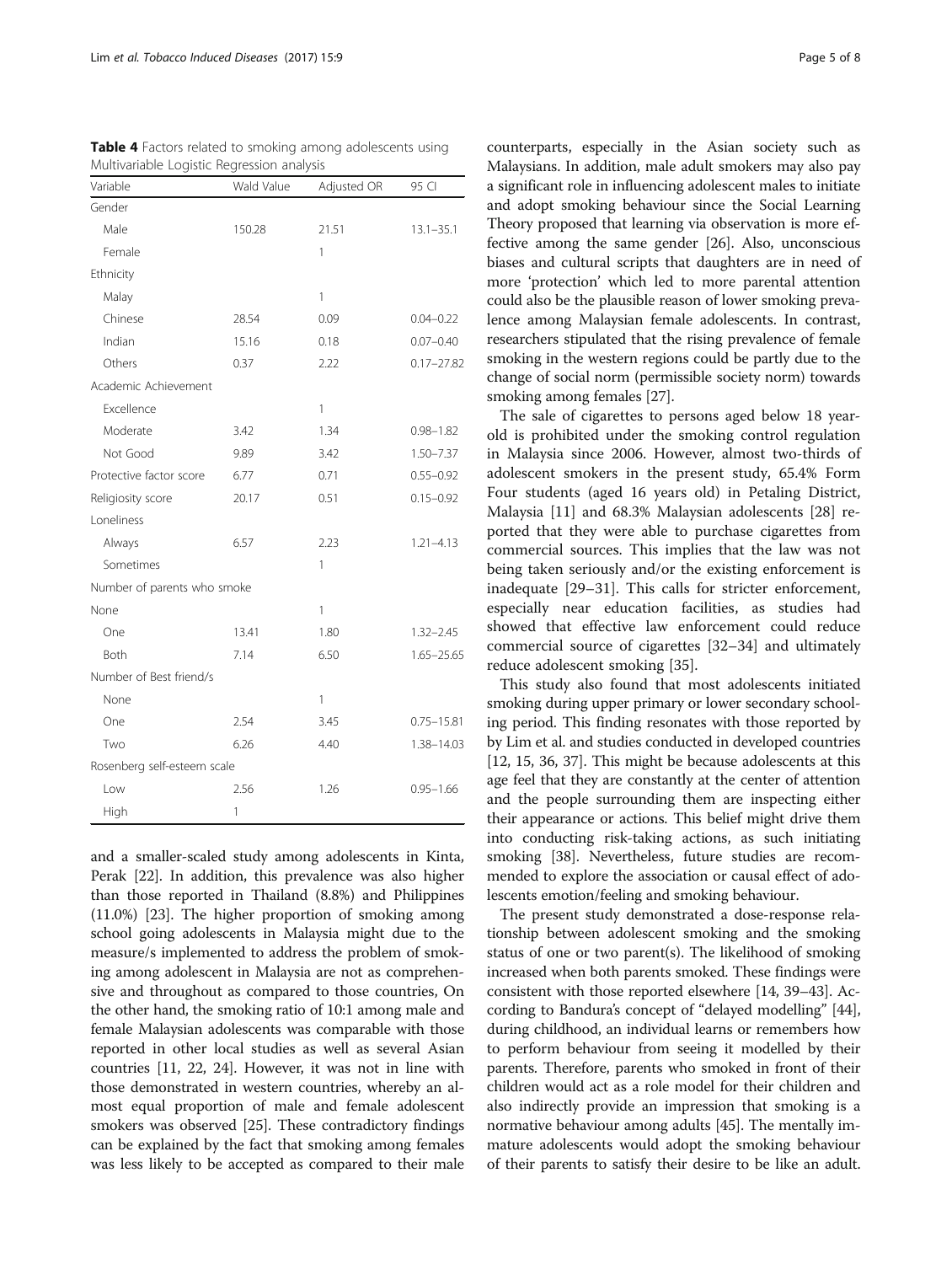| Variable                    | Wald Value   | Adjusted OR | 95 CI          |
|-----------------------------|--------------|-------------|----------------|
| Gender                      |              |             |                |
| Male                        | 150.28       | 21.51       | $13.1 - 35.1$  |
| Female                      |              | 1           |                |
| Ethnicity                   |              |             |                |
| Malay                       |              | 1           |                |
| Chinese                     | 28.54        | 0.09        | $0.04 - 0.22$  |
| Indian                      | 15.16        | 0.18        | $0.07 - 0.40$  |
| Others                      | 0.37         | 2.22        | $0.17 - 27.82$ |
| Academic Achievement        |              |             |                |
| Excellence                  |              | 1           |                |
| Moderate                    | 3.42         | 1.34        | $0.98 - 1.82$  |
| Not Good                    | 9.89         | 3.42        | $1.50 - 7.37$  |
| Protective factor score     | 6.77         | 0.71        | $0.55 - 0.92$  |
| Religiosity score           | 20.17        | 0.51        | $0.15 - 0.92$  |
| Loneliness                  |              |             |                |
| Always                      | 6.57         | 2.23        | $1.21 - 4.13$  |
| Sometimes                   |              | 1           |                |
| Number of parents who smoke |              |             |                |
| None                        |              | 1           |                |
| One                         | 13.41        | 1.80        | $1.32 - 2.45$  |
| Both                        | 7.14         | 6.50        | 1.65-25.65     |
| Number of Best friend/s     |              |             |                |
| None                        |              | 1           |                |
| One                         | 2.54         | 3.45        | $0.75 - 15.81$ |
| Two                         | 6.26         | 4.40        | 1.38-14.03     |
| Rosenberg self-esteem scale |              |             |                |
| Low                         | 2.56         | 1.26        | $0.95 - 1.66$  |
| High                        | $\mathbf{1}$ |             |                |

<span id="page-4-0"></span>Table 4 Factors related to smoking among adolescents using Multivariable Logistic Regression analysis

and a smaller-scaled study among adolescents in Kinta, Perak [[22](#page-6-0)]. In addition, this prevalence was also higher than those reported in Thailand (8.8%) and Philippines (11.0%) [[23\]](#page-6-0). The higher proportion of smoking among school going adolescents in Malaysia might due to the measure/s implemented to address the problem of smoking among adolescent in Malaysia are not as comprehensive and throughout as compared to those countries, On the other hand, the smoking ratio of 10:1 among male and female Malaysian adolescents was comparable with those reported in other local studies as well as several Asian countries [\[11, 22, 24](#page-6-0)]. However, it was not in line with those demonstrated in western countries, whereby an almost equal proportion of male and female adolescent smokers was observed [\[25\]](#page-6-0). These contradictory findings can be explained by the fact that smoking among females was less likely to be accepted as compared to their male

counterparts, especially in the Asian society such as Malaysians. In addition, male adult smokers may also pay a significant role in influencing adolescent males to initiate and adopt smoking behaviour since the Social Learning Theory proposed that learning via observation is more effective among the same gender [[26](#page-6-0)]. Also, unconscious biases and cultural scripts that daughters are in need of more 'protection' which led to more parental attention could also be the plausible reason of lower smoking prevalence among Malaysian female adolescents. In contrast, researchers stipulated that the rising prevalence of female smoking in the western regions could be partly due to the change of social norm (permissible society norm) towards smoking among females [\[27\]](#page-6-0).

The sale of cigarettes to persons aged below 18 yearold is prohibited under the smoking control regulation in Malaysia since 2006. However, almost two-thirds of adolescent smokers in the present study, 65.4% Form Four students (aged 16 years old) in Petaling District, Malaysia [\[11](#page-6-0)] and 68.3% Malaysian adolescents [[28\]](#page-6-0) reported that they were able to purchase cigarettes from commercial sources. This implies that the law was not being taken seriously and/or the existing enforcement is inadequate [[29](#page-6-0)–[31](#page-6-0)]. This calls for stricter enforcement, especially near education facilities, as studies had showed that effective law enforcement could reduce commercial source of cigarettes [[32](#page-7-0)–[34](#page-7-0)] and ultimately reduce adolescent smoking [[35\]](#page-7-0).

This study also found that most adolescents initiated smoking during upper primary or lower secondary schooling period. This finding resonates with those reported by by Lim et al. and studies conducted in developed countries [[12](#page-6-0), [15](#page-6-0), [36](#page-7-0), [37\]](#page-7-0). This might be because adolescents at this age feel that they are constantly at the center of attention and the people surrounding them are inspecting either their appearance or actions. This belief might drive them into conducting risk-taking actions, as such initiating smoking [[38](#page-7-0)]. Nevertheless, future studies are recommended to explore the association or causal effect of adolescents emotion/feeling and smoking behaviour.

The present study demonstrated a dose-response relationship between adolescent smoking and the smoking status of one or two parent(s). The likelihood of smoking increased when both parents smoked. These findings were consistent with those reported elsewhere [[14](#page-6-0), [39](#page-7-0)–[43\]](#page-7-0). According to Bandura's concept of "delayed modelling" [[44](#page-7-0)], during childhood, an individual learns or remembers how to perform behaviour from seeing it modelled by their parents. Therefore, parents who smoked in front of their children would act as a role model for their children and also indirectly provide an impression that smoking is a normative behaviour among adults [[45](#page-7-0)]. The mentally immature adolescents would adopt the smoking behaviour of their parents to satisfy their desire to be like an adult.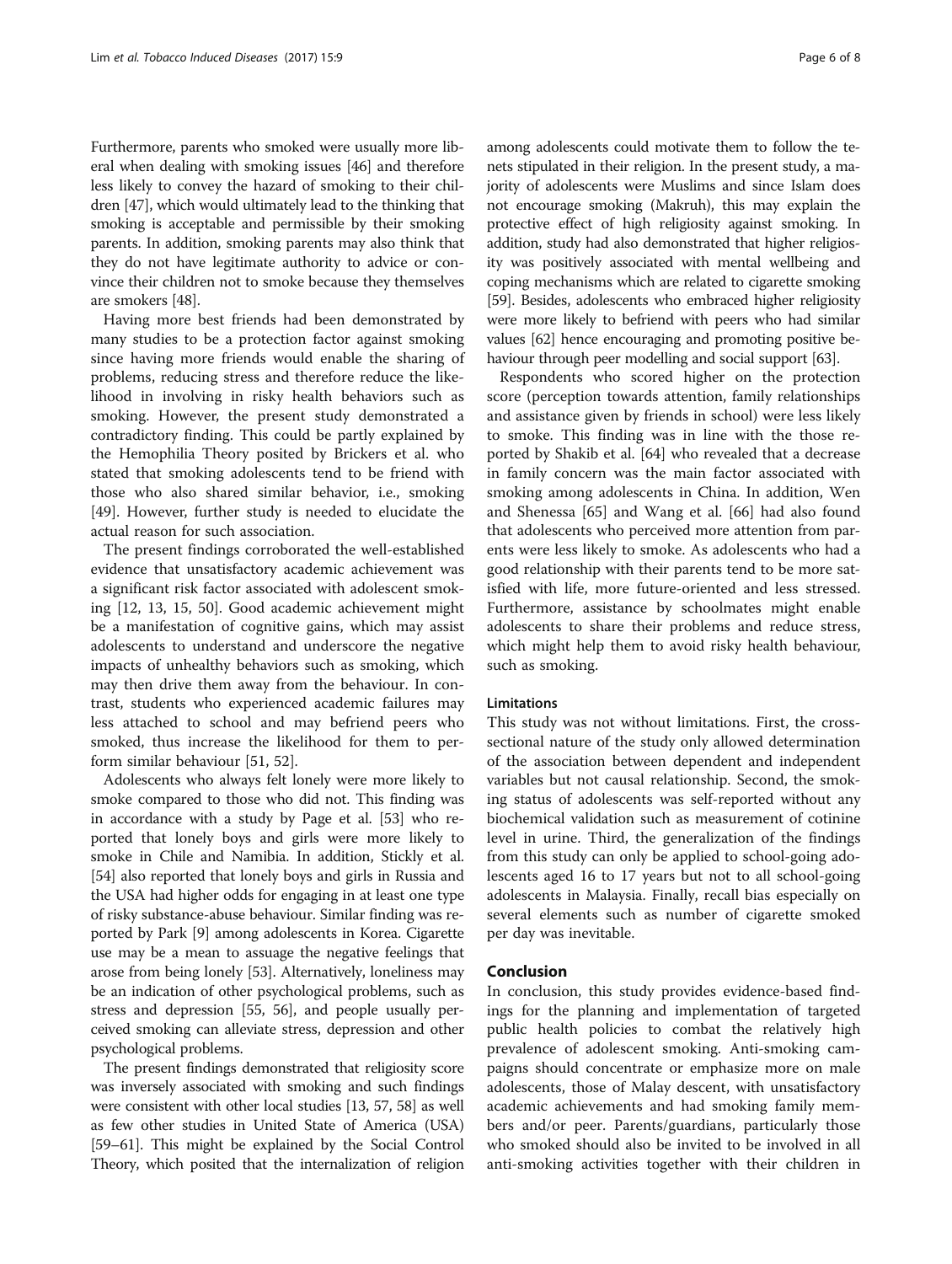Furthermore, parents who smoked were usually more liberal when dealing with smoking issues [\[46\]](#page-7-0) and therefore less likely to convey the hazard of smoking to their children [[47](#page-7-0)], which would ultimately lead to the thinking that smoking is acceptable and permissible by their smoking parents. In addition, smoking parents may also think that they do not have legitimate authority to advice or convince their children not to smoke because they themselves are smokers [\[48](#page-7-0)].

Having more best friends had been demonstrated by many studies to be a protection factor against smoking since having more friends would enable the sharing of problems, reducing stress and therefore reduce the likelihood in involving in risky health behaviors such as smoking. However, the present study demonstrated a contradictory finding. This could be partly explained by the Hemophilia Theory posited by Brickers et al. who stated that smoking adolescents tend to be friend with those who also shared similar behavior, i.e., smoking [[49\]](#page-7-0). However, further study is needed to elucidate the actual reason for such association.

The present findings corroborated the well-established evidence that unsatisfactory academic achievement was a significant risk factor associated with adolescent smoking [\[12](#page-6-0), [13](#page-6-0), [15,](#page-6-0) [50\]](#page-7-0). Good academic achievement might be a manifestation of cognitive gains, which may assist adolescents to understand and underscore the negative impacts of unhealthy behaviors such as smoking, which may then drive them away from the behaviour. In contrast, students who experienced academic failures may less attached to school and may befriend peers who smoked, thus increase the likelihood for them to perform similar behaviour [[51](#page-7-0), [52](#page-7-0)].

Adolescents who always felt lonely were more likely to smoke compared to those who did not. This finding was in accordance with a study by Page et al. [\[53](#page-7-0)] who reported that lonely boys and girls were more likely to smoke in Chile and Namibia. In addition, Stickly et al. [[54](#page-7-0)] also reported that lonely boys and girls in Russia and the USA had higher odds for engaging in at least one type of risky substance-abuse behaviour. Similar finding was reported by Park [\[9](#page-6-0)] among adolescents in Korea. Cigarette use may be a mean to assuage the negative feelings that arose from being lonely [[53](#page-7-0)]. Alternatively, loneliness may be an indication of other psychological problems, such as stress and depression [\[55, 56](#page-7-0)], and people usually perceived smoking can alleviate stress, depression and other psychological problems.

The present findings demonstrated that religiosity score was inversely associated with smoking and such findings were consistent with other local studies [\[13,](#page-6-0) [57](#page-7-0), [58\]](#page-7-0) as well as few other studies in United State of America (USA) [[59](#page-7-0)–[61\]](#page-7-0). This might be explained by the Social Control Theory, which posited that the internalization of religion among adolescents could motivate them to follow the tenets stipulated in their religion. In the present study, a majority of adolescents were Muslims and since Islam does not encourage smoking (Makruh), this may explain the protective effect of high religiosity against smoking. In addition, study had also demonstrated that higher religiosity was positively associated with mental wellbeing and coping mechanisms which are related to cigarette smoking [[59](#page-7-0)]. Besides, adolescents who embraced higher religiosity were more likely to befriend with peers who had similar values [\[62\]](#page-7-0) hence encouraging and promoting positive behaviour through peer modelling and social support [\[63](#page-7-0)].

Respondents who scored higher on the protection score (perception towards attention, family relationships and assistance given by friends in school) were less likely to smoke. This finding was in line with the those reported by Shakib et al. [[64\]](#page-7-0) who revealed that a decrease in family concern was the main factor associated with smoking among adolescents in China. In addition, Wen and Shenessa [\[65](#page-7-0)] and Wang et al. [\[66\]](#page-7-0) had also found that adolescents who perceived more attention from parents were less likely to smoke. As adolescents who had a good relationship with their parents tend to be more satisfied with life, more future-oriented and less stressed. Furthermore, assistance by schoolmates might enable adolescents to share their problems and reduce stress, which might help them to avoid risky health behaviour, such as smoking.

#### **Limitations**

This study was not without limitations. First, the crosssectional nature of the study only allowed determination of the association between dependent and independent variables but not causal relationship. Second, the smoking status of adolescents was self-reported without any biochemical validation such as measurement of cotinine level in urine. Third, the generalization of the findings from this study can only be applied to school-going adolescents aged 16 to 17 years but not to all school-going adolescents in Malaysia. Finally, recall bias especially on several elements such as number of cigarette smoked per day was inevitable.

#### Conclusion

In conclusion, this study provides evidence-based findings for the planning and implementation of targeted public health policies to combat the relatively high prevalence of adolescent smoking. Anti-smoking campaigns should concentrate or emphasize more on male adolescents, those of Malay descent, with unsatisfactory academic achievements and had smoking family members and/or peer. Parents/guardians, particularly those who smoked should also be invited to be involved in all anti-smoking activities together with their children in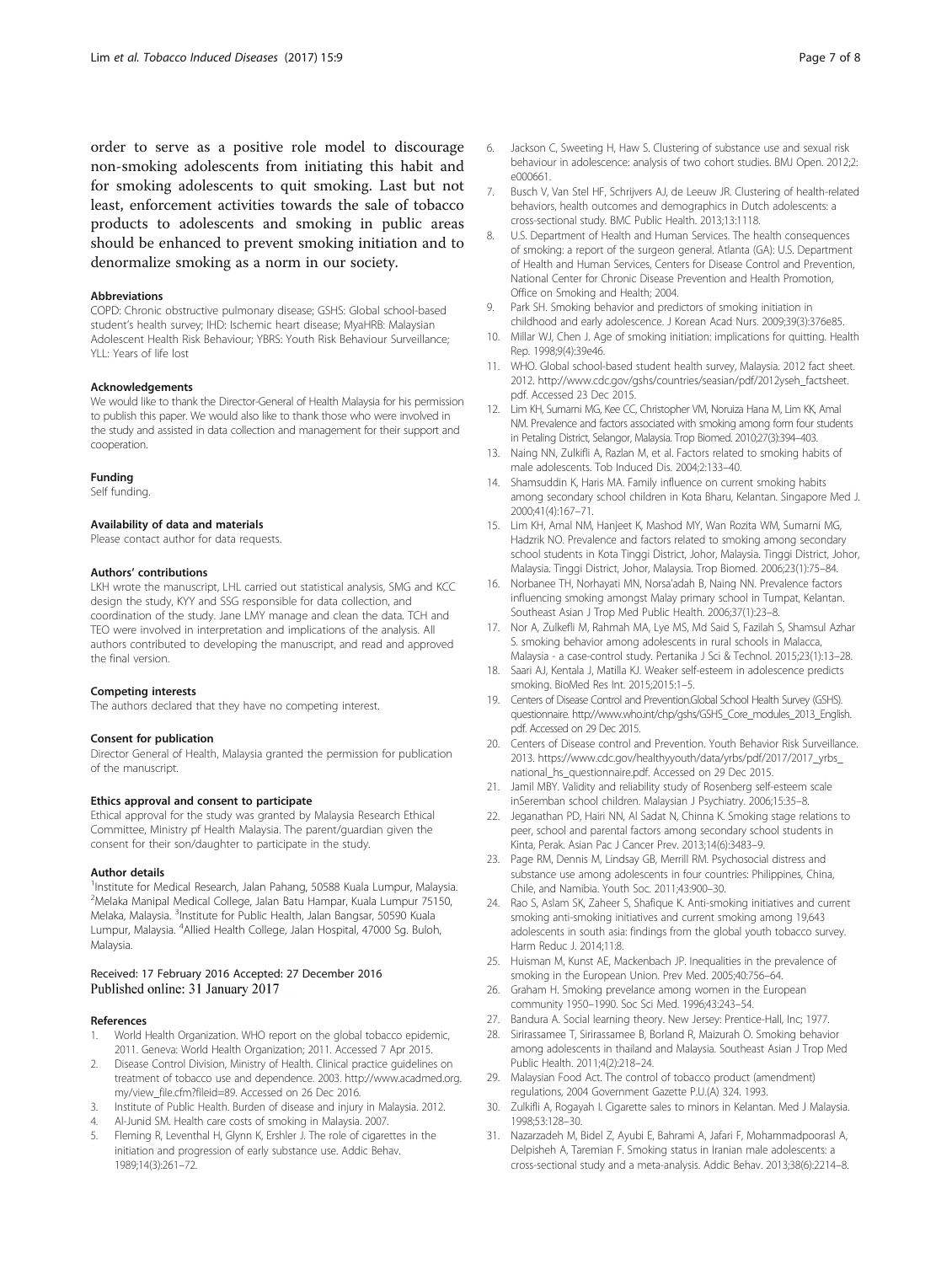<span id="page-6-0"></span>order to serve as a positive role model to discourage non-smoking adolescents from initiating this habit and for smoking adolescents to quit smoking. Last but not least, enforcement activities towards the sale of tobacco products to adolescents and smoking in public areas should be enhanced to prevent smoking initiation and to denormalize smoking as a norm in our society.

#### Abbreviations

COPD: Chronic obstructive pulmonary disease; GSHS: Global school-based student's health survey; IHD: Ischemic heart disease; MyaHRB: Malaysian Adolescent Health Risk Behaviour; YBRS: Youth Risk Behaviour Surveillance; YLL: Years of life lost

#### Acknowledgements

We would like to thank the Director-General of Health Malaysia for his permission to publish this paper. We would also like to thank those who were involved in the study and assisted in data collection and management for their support and cooperation.

#### Funding

Self funding.

#### Availability of data and materials

Please contact author for data requests.

#### Authors' contributions

LKH wrote the manuscript, LHL carried out statistical analysis, SMG and KCC design the study, KYY and SSG responsible for data collection, and coordination of the study. Jane LMY manage and clean the data. TCH and TEO were involved in interpretation and implications of the analysis. All authors contributed to developing the manuscript, and read and approved the final version.

#### Competing interests

The authors declared that they have no competing interest.

#### Consent for publication

Director General of Health, Malaysia granted the permission for publication of the manuscript.

#### Ethics approval and consent to participate

Ethical approval for the study was granted by Malaysia Research Ethical Committee, Ministry pf Health Malaysia. The parent/guardian given the consent for their son/daughter to participate in the study.

#### Author details

<sup>1</sup>Institute for Medical Research, Jalan Pahang, 50588 Kuala Lumpur, Malaysia. 2 Melaka Manipal Medical College, Jalan Batu Hampar, Kuala Lumpur 75150, Melaka, Malaysia. <sup>3</sup>Institute for Public Health, Jalan Bangsar, 50590 Kuala Lumpur, Malaysia. <sup>4</sup> Allied Health College, Jalan Hospital, 47000 Sg. Buloh, Malaysia.

#### Received: 17 February 2016 Accepted: 27 December 2016 Published online: 31 January 2017

#### References

- World Health Organization. WHO report on the global tobacco epidemic, 2011. Geneva: World Health Organization; 2011. Accessed 7 Apr 2015.
- 2. Disease Control Division, Ministry of Health. Clinical practice guidelines on treatment of tobacco use and dependence. 2003. [http://www.acadmed.org.](http://www.acadmed.org.my/view_file.cfm?fileid=89) [my/view\\_file.cfm?fileid=89](http://www.acadmed.org.my/view_file.cfm?fileid=89). Accessed on 26 Dec 2016.
- 3. Institute of Public Health. Burden of disease and injury in Malaysia. 2012.
- 4. Al-Junid SM. Health care costs of smoking in Malaysia. 2007.
- 5. Fleming R, Leventhal H, Glynn K, Ershler J. The role of cigarettes in the initiation and progression of early substance use. Addic Behav. 1989;14(3):261–72.
- 6. Jackson C, Sweeting H, Haw S. Clustering of substance use and sexual risk behaviour in adolescence: analysis of two cohort studies. BMJ Open. 2012;2: e000661.
- 7. Busch V, Van Stel HF, Schrijvers AJ, de Leeuw JR. Clustering of health-related behaviors, health outcomes and demographics in Dutch adolescents: a cross-sectional study. BMC Public Health. 2013;13:1118.
- 8. U.S. Department of Health and Human Services. The health consequences of smoking: a report of the surgeon general. Atlanta (GA): U.S. Department of Health and Human Services, Centers for Disease Control and Prevention, National Center for Chronic Disease Prevention and Health Promotion, Office on Smoking and Health; 2004.
- 9. Park SH. Smoking behavior and predictors of smoking initiation in childhood and early adolescence. J Korean Acad Nurs. 2009;39(3):376e85.
- 10. Millar WJ, Chen J. Age of smoking initiation: implications for quitting. Health Rep. 1998;9(4):39e46.
- 11. WHO. Global school-based student health survey, Malaysia. 2012 fact sheet. 2012. [http://www.cdc.gov/gshs/countries/seasian/pdf/2012yseh\\_factsheet.](http://www.cdc.gov/gshs/countries/seasian/pdf/2012yseh_factsheet.pdf) [pdf](http://www.cdc.gov/gshs/countries/seasian/pdf/2012yseh_factsheet.pdf). Accessed 23 Dec 2015.
- 12. Lim KH, Sumarni MG, Kee CC, Christopher VM, Noruiza Hana M, Lim KK, Amal NM. Prevalence and factors associated with smoking among form four students in Petaling District, Selangor, Malaysia. Trop Biomed. 2010;27(3):394–403.
- 13. Naing NN, Zulkifli A, Razlan M, et al. Factors related to smoking habits of male adolescents. Tob Induced Dis. 2004;2:133–40.
- 14. Shamsuddin K, Haris MA. Family influence on current smoking habits among secondary school children in Kota Bharu, Kelantan. Singapore Med J. 2000;41(4):167–71.
- 15. Lim KH, Amal NM, Hanjeet K, Mashod MY, Wan Rozita WM, Sumarni MG, Hadzrik NO. Prevalence and factors related to smoking among secondary school students in Kota Tinggi District, Johor, Malaysia. Tinggi District, Johor, Malaysia. Tinggi District, Johor, Malaysia. Trop Biomed. 2006;23(1):75–84.
- 16. Norbanee TH, Norhayati MN, Norsa'adah B, Naing NN. Prevalence factors influencing smoking amongst Malay primary school in Tumpat, Kelantan. Southeast Asian J Trop Med Public Health. 2006;37(1):23–8.
- 17. Nor A, Zulkefli M, Rahmah MA, Lye MS, Md Said S, Fazilah S, Shamsul Azhar S. smoking behavior among adolescents in rural schools in Malacca, Malaysia - a case-control study. Pertanika J Sci & Technol. 2015;23(1):13–28.
- 18. Saari AJ, Kentala J, Matilla KJ. Weaker self-esteem in adolescence predicts smoking. BioMed Res Int. 2015;2015:1–5.
- 19. Centers of Disease Control and Prevention.Global School Health Survey (GSHS). questionnaire. [http://www.who.int/chp/gshs/GSHS\\_Core\\_modules\\_2013\\_English.](http://www.who.int/chp/gshs/GSHS_Core_modules_2013_English.pdf) [pdf.](http://www.who.int/chp/gshs/GSHS_Core_modules_2013_English.pdf) Accessed on 29 Dec 2015.
- 20. Centers of Disease control and Prevention. Youth Behavior Risk Surveillance. 2013. [https://www.cdc.gov/healthyyouth/data/yrbs/pdf/2017/2017\\_yrbs\\_](https://www.cdc.gov/healthyyouth/data/yrbs/pdf/2017/2017_yrbs_national_hs_questionnaire.pdf) [national\\_hs\\_questionnaire.pdf.](https://www.cdc.gov/healthyyouth/data/yrbs/pdf/2017/2017_yrbs_national_hs_questionnaire.pdf) Accessed on 29 Dec 2015.
- 21. Jamil MBY. Validity and reliability study of Rosenberg self-esteem scale inSeremban school children. Malaysian J Psychiatry. 2006;15:35–8.
- 22. Jeganathan PD, Hairi NN, Al Sadat N, Chinna K. Smoking stage relations to peer, school and parental factors among secondary school students in Kinta, Perak. Asian Pac J Cancer Prev. 2013;14(6):3483–9.
- 23. Page RM, Dennis M, Lindsay GB, Merrill RM. Psychosocial distress and substance use among adolescents in four countries: Philippines, China, Chile, and Namibia. Youth Soc. 2011;43:900–30.
- 24. Rao S, Aslam SK, Zaheer S, Shafique K. Anti-smoking initiatives and current smoking anti-smoking initiatives and current smoking among 19,643 adolescents in south asia: findings from the global youth tobacco survey. Harm Reduc J. 2014;11:8.
- 25. Huisman M, Kunst AE, Mackenbach JP. Inequalities in the prevalence of smoking in the European Union. Prev Med. 2005;40:756–64.
- 26. Graham H. Smoking prevelance among women in the European community 1950–1990. Soc Sci Med. 1996;43:243–54.
- 27. Bandura A. Social learning theory. New Jersey: Prentice-Hall, Inc; 1977.
- 28. Sirirassamee T, Sirirassamee B, Borland R, Maizurah O. Smoking behavior among adolescents in thailand and Malaysia. Southeast Asian J Trop Med Public Health. 2011;4(2):218–24.
- 29. Malaysian Food Act. The control of tobacco product (amendment) regulations, 2004 Government Gazette P.U.(A) 324. 1993.
- 30. Zulkifli A, Rogayah I. Cigarette sales to minors in Kelantan. Med J Malaysia. 1998;53:128–30.
- 31. Nazarzadeh M, Bidel Z, Ayubi E, Bahrami A, Jafari F, Mohammadpoorasl A, Delpisheh A, Taremian F. Smoking status in Iranian male adolescents: a cross-sectional study and a meta-analysis. Addic Behav. 2013;38(6):2214–8.